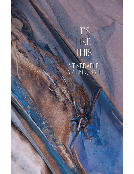# $IT'S$ LIKE THIS

VENERABLE<br>AJAHN CHAH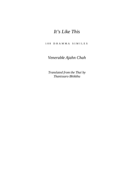# *It's Like This*

1 0 8 D H A M M A S I M I L E S

# *Venerable Ajahn Chah*

*Translated from the Thai by Thanissaro Bhikkhu*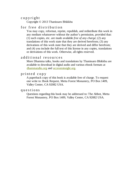# c o p y r i g h t

Copyright © 2013 Thanissaro Bhikkhu

# for free distribution

You may copy, reformat, reprint, republish, and redistribute this work in any medium whatsoever without the author's permission, provided that: (1) such copies, etc. are made available *free of any charge*; (2) any translations of this work state that they are derived herefrom; (3) any derivations of this work state that they are derived and differ herefrom; and (4) you include the full text of this license in any copies, translations or derivations of this work. Otherwise, all rights reserved.

# additional resources

More Dhamma talks, books and translations by Thanissaro Bhikkhu are available to download in digital audio and various ebook formats at [dhammatalks.org](http://www.dhammatalks.org/) and [accesstoinsight.org](http://www.accesstoinsight.org/lib/authors/thanissaro/).

# printed copy

A paperback copy of this book is available free of charge. To request one write to: Book Request, Metta Forest Monastery, PO Box 1409, Valley Center, CA 92082 USA.

#### q u e s t i o n s

Questions regarding this book may be addressed to: The Abbot, Metta Forest Monastery, PO Box 1409, Valley Center, CA 92082 USA.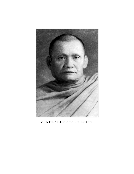

VENERABLE AJAHN CHAH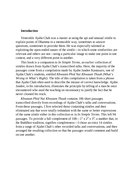#### **Introduction**

Venerable Ajahn Chah was a master at using the apt and unusual simile to explain points of Dhamma in a memorable way, sometimes to answer questions, sometimes to provoke them. He was especially talented at exploiting the open-ended nature of the simile—in which some similarities are relevant and others are not—using a particular image to make one point in one context, and a very different point in another.

This book is a companion to *In Simple Terms,* an earlier collection of similes drawn from Ajahn Chah's transcribed talks. Here, the majority of the passages come from a compilation made by Ajahn Jandee Kantasaro, one of Ajahn Chah's students, entitled *Khwaam Phid Nai Khwaam Thuuk (What's Wrong in What's Right)*. The title of this compilation is taken from a phrase that Ajahn Chah often used to describe the misuse of correct knowledge. Ajahn Jandee, in his introduction, illustrates the principle by telling of a man he once encountered who used the teaching on inconstancy to justify the fact that he never cleaned his truck.

*Khwaam Phid Nai Khwaam Thuuk* contains 186 short passages transcribed directly from recordings of Ajahn Chah's talks and conversations. From these passages, I first selected those containing similes and then eliminated any that were totally redundant with the same or better expressions of the same simile either in this collection or in *In Simple Terms.* This left 94 passages. To provide a full complement of 108—1<sup>1</sup> x 2<sup>2</sup> x 3<sup>3</sup>, a number that, in the Buddhist tradition, signifies completeness—I chose an extra 14 similes from a range of Ajahn Chah's other recorded talks and conversations, and then arranged the resulting collection so that the passages would comment and build on one another.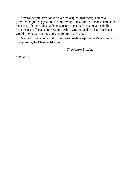Several people have looked over the original manuscript and have provided helpful suggestions for improving it. In addition to monks here at the monastery, this includes Ajahn Pasanno, Ginger Vathanasombat, Isabella Trauttmansdorff, Nathaniel Osgood, Addie Onsanit, and Michael Barber. I would like to express my appreciation for their help.

May all those who read this translation realize Ajahn Chah's original aim in explaining the Dhamma like this.

*Thanissaro Bhikkhu*

May, 2013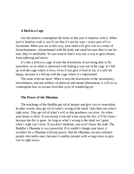#### **A Bird in a Cage**

Use the mind to contemplate the body so that you're familiar with it. When you're familiar with it, you'll see that it's not for sure—every part of it is inconstant. When you see in this way, your mind will give rise to a sense of disenchantment—disenchanted with the body and mind because they're not for sure, they're unreliable. So you want to find a way out, a way to gain release from suffering and stress.

It's like a bird in a cage: It sees the drawbacks of not being able to fly anywhere, so its mind is obsessed with finding a way out of the cage. It's fed up with the cage where it lives. Even if you give it food to eat, it's still not happy, because it's fed up with the cage where it's imprisoned.

The same with our heart: When it sees the drawbacks of the inconstancy, stressfulness, and not-selfness of physical and mental phenomena, it will try to contemplate how to escape from that cycle of wandering-on.

#### **The Power of the Dhamma**

The teachings of the Buddha get rid of people and give rise to venerables. In other words, they get rid of what's wrong in the mind. Only then can what's right arise. They get rid of what's evil so that goodness can arise. As when your house is dirty: If you sweep it out and wipe away the dirt, it'll be clean because the dirt is gone. As long as what's wrong in the mind isn't gone, what's right can't arise. If you don't meditate, you won't know the truth. The Buddha's Dhamma is very powerful. If it couldn't change your heart, it wouldn't be a Dhamma with any power. But the Dhamma can turn ordinary people into noble ones, because it enables people with wrong views to give rise to right views.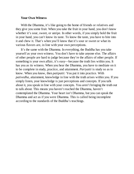#### **Your Own Witness**

With the Dhamma, it's like going to the home of friends or relatives and they give you some fruit. When you take the fruit in your hand, you don't know whether it's sour, sweet, or unripe. In other words, if you simply hold the fruit in your hand, you can't know its taste. To know the taste, you have to bite into it and chew it. That's when you'll know that it's sour or sweet or what its various flavors are, in line with your own perceptions.

It's the same with the Dhamma. In everything, the Buddha has you take yourself as your own witness. You don't have to take anyone else. The affairs of other people are hard to judge because they're the affairs of other people. If something is your own affair, it's easy—because the truth lies within you. It has you as its witness. When you hear the Dhamma, you have to meditate on it to be complete in study, practice, and attainment. *Pariyatti* is study so as to know. When you know, then *patipatti:* You put it into practice. With *pativedha,* attainment, knowledge in line with the truth arises within you. If you simply listen, your knowledge is just perceptions and concepts. If you talk about it, you speak in line with your concepts. You aren't bringing the truth out to talk about. This means you haven't reached the Dhamma, haven't contemplated the Dhamma. Your heart isn't Dhamma, but you can speak the Dhamma and act as if you were Dhamma. This is called being incomplete according to the standards of the Buddha's teachings.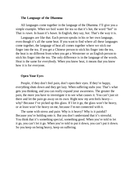#### **The Language of the Dhamma**

All languages come together in the language of the Dhamma. I'll give you a simple example. When we boil water for tea so that it's hot, the word "hot" in Thai is *rawn.* In Isaan it's *hawn.* In English, they say, *hot.* That's the way it is.

Languages are like that. Each person speaks in his or her own language, even though it's all the same heat. If you want to find where all these languages come together, the language of heat all comes together where we stick our finger into the tea. If you get a Chinese person to stick his finger into the tea, the heat is no different from when you get a Westerner or an English person to stick his finger into the tea. The only difference is in the language of the words. Heat is the same for everybody. When you know heat, it means that you know how it is for everyone.

#### **Open Your Eyes**

People, if they don't feel pain, don't open their eyes. If they're happy, everything shuts down and they get lazy. When suffering stabs you: That's what gets you thinking, and you can really expand your awareness. The greater the pain, the more you have to investigate it to see what causes it. You can't just sit there and let the pain go away on its own. Right now my arm feels heavy why? Because I've picked up this glass. If I let it go, the glass won't be heavy, or at least won't be heavy on me, because I'm not connected with it.

The same with stress and pain: Why is it heavy? Why is it painful? Because you're holding onto it. But you don't understand that it's stressful. You think that it's something special, something good. When you're told to let it go, you can't let it go. When you're told to put it down, you can't put it down. So you keep on being heavy, keep on suffering.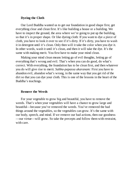# **Dyeing the Cloth**

Our Lord Buddha wanted us to get our foundation in good shape first, get everything clear and clean first. It's like building a house or a building. We have to inspect the ground, the area where we're going to put up the building, so that it's in proper shape. Or like dyeing cloth: If you want to dye a piece of cloth, you have to look it over to see if it's dirty. If it's dirty, you have to wash it in detergent until it's clean. Only then will it take the color when you dye it. In other words, wash it until it's clean, and then it will take the dye. It's the same with making merit. You first have to make your mind clean.

Making your mind clean means letting go of evil thoughts, letting go of everything that's wrong and evil. That's when you can do good, do what's correct. With everything, the foundation has to be clean first, and then whatever you do will give rise to merit. *Sabba-papassa akaranam:* First you have to abandon evil, abandon what's wrong, in the same way that you get rid of the dirt so that you can dye your cloth. This is one of the lessons in the heart of the Buddha's teachings.

#### **Remove the Weeds**

For your vegetable to grow big and beautiful, you have to remove the weeds. That's when your vegetables will have a chance to grow large and beautiful—because you've removed the weeds. You've removed the bad things around the vegetables, so the vegetables can grow. It's the same with our body, speech, and mind. If we remove our bad actions, then our goodness —our virtue—will grow. So take the precepts and follow them with restraint, with care.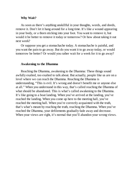#### **Why Wait?**

As soon as there's anything unskillful in your thoughts, words, and deeds, remove it. Don't let it hang around for a long time. It's like a wound appearing in your body, or a thorn sticking into your foot. You want to remove it, but would it be better to remove it today or tomorrow? Or how about taking it out next week?

Or suppose you get a stomachache today. A stomachache is painful, and you want the pain to go away. But do you want it to go away today, or would tomorrow be better? Or would you rather wait for a week for it to go away?

# **Awakening to the Dhamma**

Reaching the Dhamma, awakening to the Dhamma: These things sound awfully exalted, too exalted to talk about. But actually, people like us are on a level where we can reach the Dhamma. Reaching the Dhamma is understanding, "This is evil. It's wrong and doesn't benefit me or anyone else at all." When you understand in this way, that's called reaching the Dhamma of what should be abandoned. This is what's called awakening to the Dhamma. It's like going to a boat landing. When you've arrived at the landing, you've reached the landing. When you come up here to the meeting hall, you've reached the meeting hall. When you're correctly acquainted with the truth, that's what's meant by reaching the truth, reaching the Dhamma. When you've reached the Dhamma, your defilements gradually fade away and decrease. When your views are right, it's normal that you'll abandon your wrong views.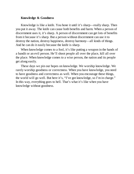#### **Knowledge & Goodness**

Knowledge is like a knife. You hone it until it's sharp—really sharp. Then you put it away. The knife can cause both benefits and harm. When a person of discernment uses it, it's sharp. A person of discernment can get lots of benefits from it because it's sharp. But a person without discernment can use it to destroy the nation, destroy happiness, destroy harmony—all kinds of things. And he can do it easily because the knife is sharp.

When knowledge comes to a fool, it's like putting a weapon in the hands of a bandit or an evil person. He'll shoot people all over the place, kill all over the place. When knowledge comes to a wise person, the nation and its people get along easily.

These days we pin our hopes on knowledge. We worship knowledge. We rarely worship goodness or correctness. When you have knowledge, you need to have goodness and correctness as well. When you encourage these things, the world will go well. But here it's, "I've got knowledge, so I'm in charge." In this way, everything goes to hell. That's what it's like when you have knowledge without goodness.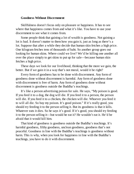# **Goodness Without Discernment**

Skillfulness doesn't focus only on pleasure or happiness. It has to see where that happiness comes from and what it's like. You have to use your discernment to see what it comes from.

Some people think that gaining a lot of wealth is goodness. Not gaining a lot is bad. It doesn't matter to them how you gain it, just as long as there's a lot. Suppose that after a while they decide that human skin fetches a high price. One kilogram fetches tens of thousands of baht. So another group goes out looking for human skins. Where could we live? We'd be killing one another all over the place simply to get skins to put up for sale—because human skin fetches a high price.

These days we look for our livelihood, thinking that the more we gain, the better. But if we gain it in a way that's not moral, would it be right?

Every form of goodness has to be done with discernment. Any form of goodness done without discernment is harmful. Any form of goodness done with discernment is free of harm. Any form of goodness done without discernment is goodness outside the Buddha's teachings.

It's like a person advertising poison for sale. He says, "My poison is good. If you feed it to a dog, the dog will die. If you feed it to a person, the person will die. If you feed it to a chicken, the chicken will die. Whoever you feed it to will all die. So buy my poison. It's good poison." If it's really good, you should try feeding it to the person selling it. But its goodness is that it kills. Whatever eats it dies. So he says it's good. If it's good, you should try feeding it to the person selling it—but would he eat it? He wouldn't eat it. He'd be afraid that it would kill him.

That kind of goodness is goodness outside the Buddha's teachings. It's harmful goodness, filthy goodness, unclean goodness, goodness that's not peaceful. Goodness in line with the Buddha's teachings is goodness without harm. This is why, when you look for happiness in line with the Buddha's teachings, you have to do it with discernment.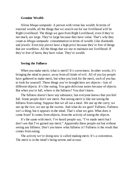# **Genuine Wealth**

*Silena bhoga-sampada:* A person with virtue has wealth. In terms of external wealth, all the things that we search out for our livelihood will be Right Livelihood. The things we gain from Right Livelihood, even if they're not much, are large. They're large because they have value. That's why they count as *bhoga-sampada:* consummation in terms of wealth. Like diamonds and jewels: Even tiny pieces have a high price because they're free of things that are worthless. All the things that we use to maintain our livelihood: If they're free of harm, they have value. They're wealth.

#### **Seeing the Fullness**

When you make merit, what is merit? It's correctness. In other words, it's bringing the mind to peace, away from all kinds of evil. All of you lay people have gathered to make merit, but when you look for the merit, each of you has to look for yourself. These things you've brought here are objects—lots of different objects. It's like eating. You gain delicious tastes because of objects. But when you're full, where is the fullness? You don't know.

The fullness doesn't have any substance, but everyone knows that you feel full. Some people don't see merit. Not seeing merit is like not seeing the fullness from eating. Suppose that we all eat a meal. We use up the curry; we use up the rice; we use up the sweets. And what do we gain? Fullness. Fullness isn't a thing, but it appears in the mind. That's what we gain. What does it come from? It comes from objects, from the activity of eating the objects.

It's the same with merit. I've heard people say, "I've made merit but I don't see that I've gained any merit." Apparently these people eat but without seeing any fullness. Don't you know what fullness is? Fullness is the result that comes from eating.

The activity we're doing now is called making merit. It's a convention. The merit is in the mind's being serene and at ease.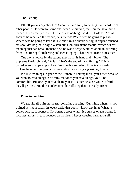#### **The Teacup**

I'll tell you a story about the Supreme Patriarch, something I've heard from other people. He went to China and, when he arrived, the Chinese gave him a teacup. It was really beautiful. There was nothing like it in Thailand. And as soon as he received the teacup, he suffered: Where was he going to put it? Where was he going to keep it? He put it in his shoulder bag. If anyone touched his shoulder bag, he'd say, "Watch out. Don't break the teacup. Watch out for the thing that can break in there." So he was always worried about it, suffering from it: suffering from having and then clinging. That's what made him suffer.

One day a novice let the teacup slip from his hand and it broke. The Supreme Patriarch said, "At last. That's the end of my suffering." This is called events happening to free him from his suffering. If the teacup hadn't broken, he would've probably been reborn as a hungry ghost right there.

It's like the things in your house. If there's nothing there, you suffer because you want to have things. You think that once you have things, you'll be comfortable. But once you have them, you still suffer because you're afraid they'll get lost. You don't understand the suffering that's already arisen.

#### **Pouncing on Fire**

We should all train our heart, look after our mind. Our mind, when it's not trained, is like a small, innocent child that doesn't know anything. Whatever it comes across, it pounces. If it comes across water, it pounces on the water. If it comes across fire, it pounces on the fire. It keeps causing harm to itself.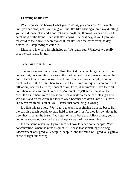#### **Learning about Fire**

When you see the harm of what you're doing, you can stop. You watch it until you can stop, until you can give it up. It's like lighting a lantern and letting your child loose. The child doesn't know anything. It crawls over and tries to catch hold of the flame. Then it'll start crying. The next day, if you try to take the child to the flame, it won't touch it, for it's seen the harm from the day before. It'll stop trying to catch it.

Right here is where insight helps us. We really see. Whatever we really see, we can really let go.

#### **Teaching from the Top**

The way we teach when we follow the Buddha's teachings is that virtue comes first, concentration comes in the middle, and discernment comes at the end. That's how we memorize these things. But with some people, you don't teach virtue first. You get them to sit until their minds are quiet. You don't yet talk about, one, virtue; two, concentration; three, discernment. Have them sit until their minds are quiet. When they're quiet, they'll sense things on their own. It's as if there were a poisonous snake under a piece of cloth right here. We can stand on the cloth and feel relaxed because we don't know it's there. But when the mind is quiet, we'll sense that something is wrong.

It's like this tree here. We're told to teach it beginning from the base. But we can also teach people to grab hold of the top first. As they follow along the tree, they'll get to the base. If you start with the base and follow along, you'll get to the top—because the base and top are part of the same thing.

It's the same when you try to figure out how to teach some people. With concentration, when the mind is quiet, it'll sense that something is wrong. Discernment will gradually seep in, seep in, and the mind will gradually gain a sense of right and wrong.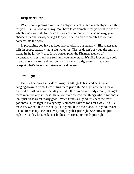# **Drop after Drop**

When contemplating a meditation object, check to see which object is right for you. It's like food on a tray. You have to contemplate for yourself to choose which foods are right for the conditions of your body. In the same way, you choose a meditation object right for you. The in-and-out breath. Or you can contemplate the body.

In practicing, you have to keep at it gradually but steadily—like water that falls in drops, steadily into a big water jar. The jar doesn't dry out; the animals living in the jar don't die. If you contemplate the Dhamma themes of inconstancy, stress, and not-self until you understand, it's like loosening a bolt in a counter-clockwise direction. It's no longer so tight—so that you don't grasp at what's inconstant, stressful, and not-self.

# **Just Right**

Ever notice how the Buddha image is sitting? Is his head bent back? Is it hanging down in front? He's sitting there just right. So right now, let's make our bodies just right, our minds just right. If the mind and body aren't just right, there won't be any stillness. Have you ever noticed that things whose goodness isn't just right aren't really good? When things are good, it's because their goodness is just right in every way. You don't have to look far away. It's like the curry we eat. If it's too salty, is it good? If it's too bland, is it good? When a cook fixes curry, she puts everything together just right. She aims at "just right." So today let's make our bodies just right, our minds just right.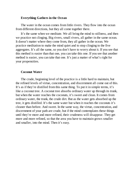# **Everything Gathers in the Ocean**

The water in the ocean comes from little rivers. They flow into the ocean from different directions, but they all come together there.

It's the same when we meditate. We all bring the mind to stillness, and then we practice not clinging. Big rivers, small rivers, all gather in the same ocean. It doesn't matter where they come from, they all gather in the ocean. We practice meditation to make the mind quiet and to stop clinging to the five aggregates. It's all the same, so you don't have to worry about it. If you see that this method is easier than that one, you can take this one. If you see that another method is easier, you can take that one. It's just a matter of what's right for your propensities.

# **Coconut Water**

The crude, beginning level of the practice is a little hard to maintain, but the refined levels of virtue, concentration, and discernment all come out of this. It's as if they're distilled from this same thing. To put it in simple terms, it's like a coconut tree. A coconut tree absorbs ordinary water up through its trunk, but when the water reaches the coconuts, it's sweet and clean. It comes from ordinary water, the trunk, the crude dirt. But as the water gets absorbed up the tree, it gets distilled. It's the same water but when it reaches the coconuts it's cleaner than before. And sweet. In the same way, the virtue, concentration, and discernment of your path are crude, but if the mind contemplates these things until they're more and more refined, their crudeness will disappear. They get more and more refined, so that the area you have to maintain grows smaller and smaller, into the mind. Then it's easy.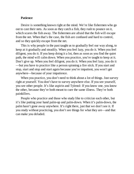# **Patience**

Desire is something known right at the mind. We're like fishermen who go out to cast their nets. As soon as they catch a fish, they rush to pounce on it, which scares the fish away. The fishermen are afraid that the fish will escape from the net. When that's the case, the fish are confused and hard to control, and so they quickly escape from the net.

This is why people in the past taught us to gradually feel our way along, to keep at it gradually and steadily. When you feel lazy, you do it. When you feel diligent, you do it. If you keep doing it a lot, then as soon as you find the quiet path, the mind will calm down. When you practice, you're taught to keep at it. Don't give up. When you feel diligent, you do it. When you feel lazy, you do it —but you have to practice like a person spinning a fire stick. If you start and stop, start and stop and start again because you're impatient, you won't get anywhere—because of your impatience.

When you practice, you don't need to think about a lot of things. Just survey right at yourself. You don't have to survey anywhere else. If you see yourself, you see other people. It's like aspirin and Tylenol: If you know one, you know the other, because they're both meant to cure the same illness. They're both painkillers.

People who practice and those who study like to criticize each other, but it's like putting your hand palm-up and palm-down. When it's palm-down, the palm hasn't gone away anywhere. It's right there, just that we don't see it. If you study without practicing, you don't see things for what they are—and that can make you deluded.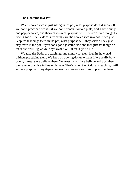#### **The Dhamma in a Pot**

When cooked rice is just sitting in the pot, what purpose does it serve? If we don't practice with it—if we don't spoon it onto a plate, add a little curry and pepper sauce, and then eat it—what purpose will it serve? Even though the rice is good. The Buddha's teachings are the cooked rice in a pot. If we just keep the teachings there in the pot, what purpose will they serve? They just stay there in the pot. If you cook good jasmine rice and then just set it high on the table, will it give you any flavor? Will it make you full?

We take the Buddha's teachings and simply set them high in the world without practicing them. We keep on bowing down to them. If we really bow down, it means we believe them. We trust them. If we believe and trust them, we have to practice in line with them. That's when the Buddha's teachings will serve a purpose. They depend on each and every one of us to practice them.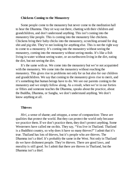#### **Chickens Coming to the Monastery**

Some people come to the monastery but never come to the meditation hall to hear the Dhamma. They sit way out there, chatting with their children and grandchildren, and don't understand anything. This isn't coming into the monastery like people. This is coming into the monastery like chickens. Chickens bring their baby chicks into the monastery, scratching around for dog shit and pig shit. They're not looking for anything else. This is not the right way to come to a monastery. It's coming into the monastery without seeing the monastery, coming into the monastery without seeing monks. It's like a fish living in water without seeing water, or an earthworm living in the dirt, eating the dirt, but not seeing the dirt.

It's the same with us. We come into the monastery but we're not acquainted with the monastery. We come into the monastery without reaching the monastery. This gives rise to problems not only for us but also for our children and grandchildren. We say that coming to the monastery gives rise to merit, and it's something that human beings have to do. We see our parents coming to the monastery and we simply follow along. As a result, when we're in our forties or fifties and someone teaches the Dhamma, speaks about the practice, about the Buddha, Dhamma, or Sangha, we don't understand anything. We don't know anything at all.

#### **Thieves**

*Hiri,* a sense of shame; and *ottappa,* a sense of compunction: These are qualities that protect the world. But they can protect the world only because we practice them. If we don't practice them, they don't protect anything. Some Westerners have called me on this. They say, "You live in Thailand. Thailand is a Buddhist country, so why does it have so many thieves?" I admit that it's true. Thailand has lots of thieves, but it's people who are thieves. The Dhamma isn't a thief. It's probably the same in the West. Not only in Thailand do we have dishonest people. They're thieves. There are good laws, and morality is still good. So I admit that there are thieves in Thailand, but the Dhamma isn't a thief.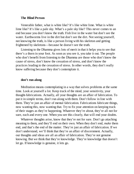#### **The Blind Person**

Venerable father, what is white like? It's like white lime. What is white lime like? It's like a pale sky. What's a pale sky like? This never comes to an end because you don't know the truth. Fish live in the water but don't see the water. Earthworms live in the dirt but don't see the dirt. Not seeing yourself, not knowing the truth, is like a person living with his skeleton and getting frightened by skeletons—because he doesn't see the truth.

Listening to the Dhamma gives lots of merit in that it helps you to see that there's a thorn in your foot. As soon as you see it, you take it out. The people who don't benefit from listening to the Dhamma are those who don't know the cause of stress, don't know the cessation of stress, and don't know the practices leading to the cessation of stress. In other words, they don't really know suffering because they don't contemplate it.

#### **don't run along**

Meditation means contemplating in a way that solves problems at the same time. Look at yourself a lot. Keep track of the mind, your sensitivity, your thought-fabrications. Actually, all your thoughts are an affair of fabrication. To put it in simple terms, don't run along with them. Don't follow in line with them. They're just an affair of mental fabrication. Fabrications fabricate things, now wanting this, now wanting that. Try to fix your attention on keeping track of their stages as they're happening. Whatever they're about, they're all not for sure, each and every one. When you see this clearly, that will end your doubts.

Whatever thoughts arise, know that they're not for sure. Don't go attaching meaning to them, and they'll end on their own. When they don't end, *make* them end, and that's the end of the matter. They're just an affair of fabrication. If we don't understand, we'll think that they're an affair of discernment. Actually, our thoughts and ideas are all an affair of fabrication. They're not genuine knowing. But we think that they're knowledge. They're knowledge that doesn't let go. If knowledge is genuine, it lets go.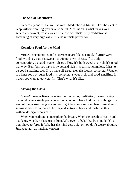# **The Salt of Meditation**

Generosity and virtue are like meat. Meditation is like salt. For the meat to keep without spoiling, you have to salt it. Meditation is what makes your generosity correct, makes your virtue correct. That's why meditation is something of very high value. It's the ultimate perfection.

#### **Complete Food for the Mind**

Virtue, concentration, and discernment are like our food. If virtue were food, we'd say that it's sweet but without any richness. If you add concentration, that adds some richness. Now it's both sweet and rich. It's good that way. But if all you have is sweet and rich, it's still not complete. It has to be good-smelling, too. If you have all three, then the food is complete. Whether it's inner food or outer food, it's complete: sweet, rich, and good-smelling. It makes you want to eat your fill. That's what it's like.

#### **Moving the Glass**

*Samadhi* means firm concentration. *Bhavana,* meditation, means making the mind have a single preoccupation. You don't have to do a lot of things. It's kind of like taking this glass and setting it here for a minute, then lifting it and setting it there for a minute. Lifting and setting it, back and forth like this, without doing anything else.

When you meditate, contemplate the breath. When the breath comes in and out, know whether it's short or long. Whatever it feels like, be mindful. You don't have to force it. Whether the mind gets quiet or not, don't worry about it. Just keep at it as much as you can.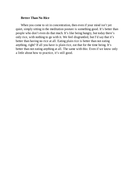# **Better Than No Rice**

When you come to sit in concentration, then even if your mind isn't yet quiet, simply sitting in the meditation posture is something good. It's better than people who don't even do that much. It's like being hungry, but today there's only rice, with nothing to go with it. We feel disgruntled, but I'd say that it's better than having no rice at all. Eating plain rice is better than not eating anything, right? If all you have is plain rice, eat that for the time being. It's better than not eating anything at all. The same with this: Even if we know only a little about how to practice, it's still good.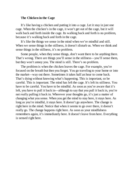# **The Chicken in the Cage**

It's like having a chicken and putting it into a cage. Let it stay in just one cage. When the chicken's in the cage, it won't get out of the cage, but it will walk back and forth inside the cage. Its walking back and forth is no problem, because it's walking back and forth in the cage.

It's like the things we sense in the mind when we're mindful and still. When we sense things in the stillness, it doesn't disturb us. When we think and sense things in the stillness, it's no problem.

Some people, when they sense things, don't want there to be anything there. That's wrong. There are things you'll sense in the stillness—you'll sense them, but they won't annoy you. The mind is still. There's no problem.

The problem is when the chicken leaves the cage. For example, you're focused on the breath but then you forget. You go traveling to your home or into the market—way out there. Sometimes it takes half an hour to come back. That's dying without knowing what's happening. This is important, so be careful. This is important. The mind has left the cage. It's left its stillness. You have to be careful. You have to be mindful. As soon as you're aware that it's left, you have to pull it back in—although to say that you pull it back in, you're not really pulling it back in. Wherever your thoughts go, it's just a matter of changing what you sense. When you get the mind to stay here, it stays here. As long as you're mindful, it stays here. It doesn't go anywhere. The change is right here in the mind. Notice that when it seems to go over there, it doesn't really go. The change happens right here. As soon as your mindfulness remembers again, it's immediately here. It doesn't leave from here. Everything is sensed right here.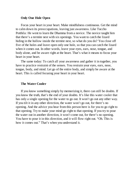# **Only One Hole Open**

Focus your heart in your heart. Make mindfulness continuous. Get the mind to calm down its preoccupations, leaving just awareness. Like Tuccho Potthila: He went to learn the Dhamma from a novice. The novice taught him that there's a termite nest with six openings. You want to catch the lizard hiding in the hollow inside the termite nest, so what do you do? You close off five of the holes and leave open only one hole, so that you can catch the lizard when it comes out. In other words, leave your eyes, ears, nose, tongue, and body alone, and be aware right at the heart. That's what it means to focus your heart in your heart.

The same today: To catch all your awareness and gather it in together, you have to practice restraint of the senses. You restrain your eyes, ears, nose, tongue, body, and mind. Let go of the entire body, and simply be aware at the heart. This is called focusing your heart in your heart.

# **The Water Cooler**

If you know something simply by memorizing it, there can still be doubts. If you know the truth, that's the end of your doubts. It's like this water cooler that has only a single opening for the water to go out. It won't go out any other way. If you tilt it in any other direction, the water won't go out, for there's no opening. And the advice you hear from this person here is for you to go right to that opening. Try to make your mind go right to that opening. If you try to pour the water out in another direction, it won't come out, for there's no opening. You have to pour it in this direction, and it will flow right out. "Oh. This is how it comes out." That's when you understand it.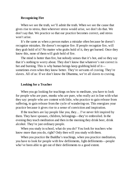# **Recognizing Fire**

When we see the truth, we'll admit the truth. When we see the cause that gives rise to stress, then wherever stress would arise, we don't do that. We don't say that. We practice so that our practice becomes correct, and stress won't arise.

It's the same as when a person makes a mistake often because he doesn't recognize mistakes. He doesn't recognize fire. If people recognize fire, will they grab hold of it? No matter who grabs hold of it, they get burned. Once they know this, none of them will grab hold of fire.

The mind is hotter than fire, but nobody senses that it's hot, and so they say that it's nothing to worry about. They don't know that whatever's not correct is hot and burning. This is why human beings keep grabbing hold of it sometimes even when they know better. They're servants of craving. They're slaves. All of us: If we don't know the Dhamma, we're all slaves to craving.

# **Looking for a Teacher**

When you go looking for teachings on how to meditate, you have to look for people who are pure, monks who are pure, who really act in line with what they say: people who are content with little, who practice to gain release from suffering, to gain release from the cycle of wandering-on. This energizes your practice because it gives rise to a sense of conviction and inspiration.

If the teachers are lay people like you, they… I've never felt inspired by them. They have spouses, children, belongings—they're embroiled. In the evening they teach meditation and then in the morning they drink beer, drink alcohol. They're just ordinary people.

When you study in school, what do you do? You look for teachers who know more than you do, right? Only then will you study with them.

When you practice the Buddha's teachings, when you practice meditation, you have to look for people with few defilements, light defilements—people who've been able to get out of their defilements to a good extent.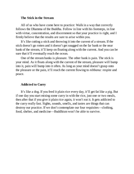# **The Stick in the Stream**

All of us who have come here to practice: Walk in a way that correctly follows the Dhamma of the Buddha. Follow in line with his footsteps, in line with virtue, concentration, and discernment so that your practice is right, and I firmly believe that the results are sure to arise within you.

It's like cutting a stick and throwing it into the current of a stream. If the stick doesn't go rotten and it doesn't get snagged on the far bank or the near bank of the stream, it'll keep on floating along with the current. And you can be sure that it'll eventually reach the ocean.

One of the stream banks is pleasure. The other bank is pain. The stick is your mind. As it floats along with the current of the stream, pleasure will bump into it, pain will bump into it often. As long as your mind doesn't grasp onto the pleasure or the pain, it'll reach the current flowing to *nibbana:* respite and peace.

# **Addicted to Curry**

It's like a dog. If you feed it plain rice every day, it'll get fat like a pig. But if one day you start mixing some curry in with the rice, just one or two meals, then after that if you give it plain rice again, it won't eat it. It gets addicted to the curry really fast. Sights, sounds, smells, and tastes are things that can destroy our practice. If we don't contemplate our four requisites—clothing, food, shelter, and medicine—Buddhism won't be able to survive.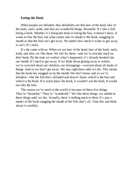# **Eating the Hook**

When people are deluded, they deludedly see that hair of the head, hair of the body, nails, teeth, and skin are wonderful things. Beautiful. It's like a fish biting a hook. Whether it's biting the hook or biting the bait, it doesn't know. It wants to bite the bait, but what comes into its mouth is the hook, snagging its mouth so that the fish can't get away. No matter how much it wants to get away, it can't. It's stuck.

It's the same with us: When we see hair of the head, hair of the body, nails, teeth, and skin, we like them. We fall for them—and we're already stuck on their hook. By the time we realize what's happened, it's already hooked into our mouth. It's hard to get away. If we think about getting away to ordain, we're worried about our children, our belongings—worried about all kinds of things. And so we don't get away. We stay right there until we die. This means that the hook has snagged us by the mouth. We don't know and so we're deluded—like the fish that's deluded and doesn't know which is the bait and which is the hook. If it really knew the hook, it wouldn't eat the hook. It would eat only the bait.

The reason we're stuck in the world is because of these five things. They're "beautiful." They're "wonderful." We like these things; we submit to these things until we die. Actually, there's nothing much to them. It's just a matter of the hook snagging the mouth of the fish, that's all. Take this and think about it carefully.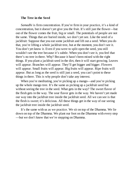#### **The Tree in the Seed**

*Samadhi* is firm concentration. If you're firm in your practice, it's a kind of concentration, but it doesn't yet give you the fruit. It's still just the flower—but out of the flower comes the fruit, big or small. The potentials of people are not the same. Things that are buried inside, we don't yet see. Like the seed of a jackfruit: Suppose that you eat some jackfruit and lift out a seed. When you do that, you're lifting a whole jackfruit tree, but at the moment, you don't see it. You don't yet know it. Even if you were to split open the seed, you still wouldn't see the tree because it's subtle. When you don't see it, you feel that there's no tree in there. Why? Because it hasn't been mixed with the right things. If you plant a jackfruit seed in the dirt, then it will start growing. Leaves will appear. Branches will appear. They'll get bigger and bigger. Flowers will appear. Small fruits will appear. Big fruits will appear. Ripe fruits will appear. But as long as the seed is still just a seed, you can't point to these things in there. This is why people don't take any interest.

When you're meditating, you're picking up a mango—and you're picking up the whole mango tree. It's the same as picking up a jackfruit seed but without seeing the tree in the seed. What gets in the way? The sweet flavor of the flesh gets in the way. The sour flavor gets in the way. We haven't yet made our way into the jackfruit tree inside the jackfruit seed. All we can see is that the flesh is sweet; it's delicious. All these things get in the way of our seeing the jackfruit tree inside the jackfruit seed.

It's the same with us as we practice. We sit on top of the Dhamma. We lie down on top of the Dhamma. We plant our foot on the Dhamma with every step —but we don't know that we're stepping on Dhamma.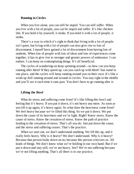# **Running in Circles**

When you live alone, you can still be stupid. You can still suffer. When you live with a lot of people, you can be stupid and suffer. It's like chicken shit. If you hold it by yourself, it stinks. If you hold it with a lot of people, it stinks.

There's a way in which it's right to think that living with a lot of people isn't quiet, but living with a lot of people can also give rise to lots of discernment. I myself have gained a lot of discernment from having lots of students. When lots of people with lots of ideas and lots of experiences come together, it has to give rise to stronger and greater powers of endurance. I can endure. I can keep on contemplating things. It's all beneficial.

The cycles of wandering-on keep spinning around—so how can you keep running after them? If they speed up, can you catch up with them? Just stand in one place, and the cycles will keep running around you on their own. It's like a wind-up doll running around and around in circles. You stay right in the middle and you'll see it each time it runs past. You don't have to go running after it.

#### **Lifting the Bowl**

What do stress and suffering come from? It's like lifting this bowl and feeling that it's heavy. If you put it down, it's not heavy any more. As soon as you lift it up again, it's heavy again. So what does the heaviness come from? We feel heavy because we've lifted this thing. So we put it down. We put down the cause of its heaviness and we're light. Right? Know stress. Know the cause of stress. Know the cessation of stress. Know the path of practice leading to the cessation of stress. That's all you do. Just put down the cause, and the stress and suffering ceases. That's the practice.

When we start out, we don't understand anything. We lift this up, and it really feels heavy. Why is it heavy? We don't understand. Why is it heavy? Because that person looks down on us; because this person criticizes us. All kinds of things. We don't know what we're holding in our own hand. But if we put it down and stay still, we're not heavy. See? We're not suffering because we're not lifting anything. That's all there is to our practice.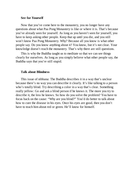#### **See for Yourself**

Now that you've come here to the monastery, you no longer have any questions about what Paa Pong Monastery is like or where it is. That's because you've already seen for yourself. As long as you haven't seen for yourself, you have to keep asking other people. Keep that up until you die, and you still won't know Paa Pong Monastery. Why? Because all you know is what other people say. Do you know anything about it? You know, but it's not clear. Your knowledge doesn't reach the monastery. That's why there are still questions.

This is why the Buddha taught us to meditate so that we can see things clearly for ourselves. As long as you simply believe what other people say, the Buddha says that you're still stupid.

#### **Talk about Blindness**

This issue of nibbana: The Buddha describes it in a way that's unclear because there's no way you can describe it clearly. It's like talking to a person who's totally blind. Try describing a color in a way that's clear. Something really yellow: Go and ask a blind person if he knows it. The more you try to describe it, the less he knows. So how do you solve the problem? You have to focus back on the cause: "Why are you blind?" You'd do better to talk about how to cure the disease in his eyes. Once his eyes are good, then you don't have to teach him about red or green. He'll know for himself.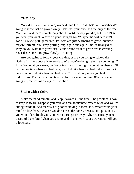#### **Your Duty**

Your duty is to plant a tree, water it, and fertilize it, that's all. Whether it's going to grow fast or grow slowly, that's not your duty. It's the duty of the tree. You can stand there complaining about it until the day you die, but it won't get you what you want. Where do your thoughts go? "Maybe the soil here isn't good." So you pull up the tree. Its roots are just beginning to grow, but now they're torn off. You keep pulling it up, again and again, until it finally dies. Why do you want it to grow fast? Your desire for it to grow fast is craving. Your desire for it to grow slowly is craving.

Are you going to follow your craving, or are you going to follow the Buddha? Think about this every day. What you're doing: Why are you doing it? If you're not at your ease, you're doing it with craving. If you let go, then you'll do the practice when you feel lazy; you'll do it when you feel industrious. But here you don't do it when you feel lazy. You do it only when you feel industrious. That's just a practice that follows your craving. *When* are you going to practice following the Buddha?

#### **Sitting with a Cobra**

Make the mind mindful and keep it aware all the time. The problem is how to keep it aware. Suppose you have an area about three meters wide and you're sitting inside it. And there's a big cobra staying in there, too. What would your mind be like then? Because you don't trust the cobra, because it's poisonous, you won't dare lie down. You won't dare get drowsy. Why? Because you're afraid of the cobra. When you understand in this way, your awareness will get a lot clearer.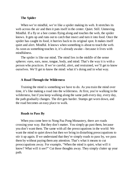# **The Spider**

When we're mindful, we're like a spider making its web. It stretches its web across the air and then it puts itself in the center. Quiet. Still. Unmoving. Mindful. If a fly or a bee comes flying along and touches the web, the spider knows. It gets up and runs out to catch that insect and turn it into food. Once the spider has caught its food, it hurries back to its original spot. It makes itself quiet and alert. Mindful. It knows when something is about to touch the web. As soon as something touches it, it's already awake—because it lives with mindfulness.

The spider is like our mind. The mind lies in the middle of the sense spheres: eyes, ears, nose, tongue, body, and mind. That's the way it is with a person who practices. If we're careful, alert, and restrained, we'll get to know ourselves. We'll get to know the mind: what it's doing and in what way.

#### **A Road Through the Wilderness**

Training the mind is something we have to do. As you train the mind over time, it's like making a road into the wilderness. At first, you're walking in the wilderness, but if you keep walking along the same path every day, every day, the path gradually changes. The dirt gets harder. Stumps get worn down, and the road becomes an easy place to walk.

#### **Roads to Pass By**

When you come here to Nong Paa Pong Monastery, there are roads crossing your way. But they don't matter. You simply go past them, because you don't want them. The same with all the preoccupations in the world: We want the mind to quiet down but then we bring in disturbing preoccupations to stir it up again. If we understand that they're simply roads to pass by, we pass them by without paying them any attention. That's what it means to cut preoccupations away. For example, "When the mind is quiet, what will it know? What will it see?" Cut those thoughts away. They simply clutter up your path.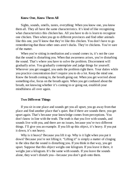#### **Know One, Know Them All**

Sights, sounds, smells, tastes, everything: When you know one, you know them all. They all have the same characteristics. It's kind of like recognizing what characteristics this chicken has. All you have to do is learn to recognize one chicken. Then when you go to different provinces and find other animals like this one, you'll know that they're like this chicken. You don't have to go remembering that those other ones aren't ducks. They're chickens. You're sure of the matter.

When you're sitting in meditation and a sound comes in, it's not the case that the sound is disturbing you. When that awareness arises, you're disturbing the sound. That's where you have to solve the problem. Discernment will gradually arise. You gradually contemplate and judge things for yourself. Wherever you get snagged, you undo the problem right there. Your duties while you practice concentration don't require you to do a lot. Keep the mind one. Know the breath coming in, the breath going out. When you get worried about something else, focus on the breath again. When you get confused about the breath, not knowing whether it's coming in or going out, establish your mindfulness all over again.

#### **Two Different Things**

If you sit in one place and sounds get you all upset, you go away from that place and find another place that's quiet. But if there are sounds there, you get upset again. That's because your knowledge comes from perceptions. You don't know in line with the truth. The truth is that you live with sounds, and sounds live with you, and there are no issues, because you're two different things. I'll give you an example. If you lift up this object, it's heavy. If you put it down, it's not heavy.

Why is it heavy? Because you lift it up. Why is it light when you put it down? Because you're not lifting it. "Lifting it" is simply a matter of clinging to the idea that the sound is disturbing you. If you think in that way, you get upset. Suppose that this object weighs one kilogram. If you leave it there, it weighs just a kilogram. It's the same with sounds. If you leave the sounds alone, they won't disturb you—because you don't grab onto them.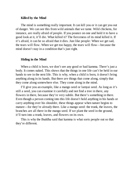#### **Killed by the Mind**

The mind is something really important. It can kill you or it can get you out of danger. We can see this from wild animals that we tame. Wild chickens, for instance, are really afraid of people. If you pounce on one and hold it to have a good look at it, it'll die. What killed it? The fierceness of its mind killed it. If it's afraid, it can be so afraid that it dies. Just like people: When we get sad, the tears will flow. When we get too happy, the tears will flow—because the mind doesn't stay in a condition that's just right.

#### **Hiding in the Mind**

When a child is born, we don't see any good or bad kamma. There's just a body. It comes naked. This shows that the things in one life can't be held in our hands to see in the next life. This is why, when a child is born, it doesn't bring anything along in its hands. But there *are* things that come along, simply that they come along somewhere else. They come along in the mind.

I'll give you an example, like a mango seed or lamyai seed. As long as it's still a seed, you can examine it carefully and not find a tree in there, any flowers in there, because they're very subtle. But there's something in there. Even though a person coming into this life doesn't hold anything in his hands or carry anything over his shoulder, these things appear when nature begins to mature—for they're already there. Like a mango seed: the trunk, the leaves, the branches are all there in the mango seed. If we plant the seed in the ground, it'll turn into a trunk, leaves, and flowers on its own.

This is why the Buddha said that kamma is what sorts people out so that they're different.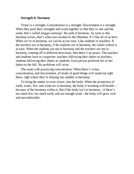### **Strength & Harmony**

Virtue is a strength. Concentration is a strength. Discernment is a strength. When they pool their strengths and work together so that they're one and the same, that's called *magga-samangi:* the path in harmony. As soon as this harmony arises, that's when you awaken to the Dhamma. It's like all of us here. When we're in harmony, we can be at our ease. Like students or teachers: If the teachers are in harmony, if the students are in harmony, the whole school is at ease. When the students are not in harmony and the teachers are not in harmony, running off in different directions, then there's no peace. The teachers and students have to cooperate: teachers following their duties as teachers, students following their duties as students. Each person performs his or her duties to the full. No problems will arise.

The same with practicing concentration: When there's virtue, concentration, and discernment, all kinds of good things will stand out right there, right where they're helping one another in harmony.

To bring the matter in even closer, into the body: When the properties of earth, water, fire, and wind are in harmony, the body is beaming with health because of the harmony within it. But if the body isn't in harmony—if there's too much fire, too much earth, and not enough wind—the body will grow sick and uncomfortable.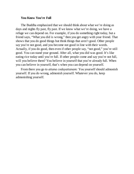## **You Know You're Full**

The Buddha emphasized that we should think about what we're doing as days and nights fly past, fly past. If we know what we're doing, we have a refuge we can depend on. For example, if you do something right today, but a friend says, "What you did is wrong," then you get angry with your friend. That shows that you do good things but think things that aren't good. Other people say you're not good, and you become not good in line with their words. Actually, if you do good, then even if other people say, "not good," you're still good. You can stand your ground. After all, what you did was good. It's like eating rice today until you're full. If other people come and say you're not full, will you believe them? You believe in yourself that you're already full. When you can believe in yourself, that's when you can depend on yourself.

From there you go to *attana codayattanam:* You yourself should admonish yourself. If you do wrong, admonish yourself. Whatever you do, keep admonishing yourself.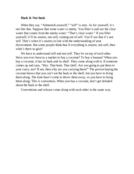## **Husk & Not-husk**

When they say, "Admonish yourself," "self" is *atta.* As for yourself, it's not like that. Suppose that some water is murky. You filter it and see the clear water that comes from the murky water: "That's clear water." If you filter yourself, it'll be *anatta,* not-self, coming out of self. You'll see that it's notself. That's when it's *anatta* in line with the understanding of your discernment. But some people think that if everything is *anatta,* not-self, then what's there to gain?

We have to understand self and not-self. They lie on top of each other. Have you ever been to a market to buy a coconut? To buy a banana? When you buy a coconut, it has its husk and its shell. They come along with it. If someone comes up and says, "Hey. That husk. That shell. Are you going to put them in your curry, too? If not, then why are you carrying them?" The person buying the coconut knows that you can't eat the husk or the shell, but you have to bring them along. The time hasn't come to throw them away, so you have to bring them along. This is convention. When you buy a coconut, don't get deluded about the husk or the shell.

Conventions and release come along with each other in the same way.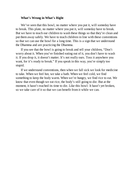# **What's Wrong in What's Right**

We've seen that this bowl, no matter where you put it, will someday have to break. This plate, no matter where you put it, will someday have to break. But we have to teach our children to wash these things so that they're clean and put them away safely. We have to teach children in line with these conventions so that we can use the bowl for a long time. This is a sign that we understand the Dhamma and are practicing the Dhamma.

If you see that the bowl is going to break and tell your children, "Don't worry about it. When you've finished eating out of it, you don't have to wash it. If you drop it, it doesn't matter. It's not really ours. Toss it anywhere you want, for it's ready to break." If you speak in this way, you're simply too stupid.

If we understand conventions, then when we fall sick we look for medicine to take. When we feel hot, we take a bath. When we feel cold, we find something to keep the body warm. When we're hungry, we find rice to eat. We know that even though we eat rice, the body's still going to die. But at the moment, it hasn't reached its time to die. Like this bowl: It hasn't yet broken, so we take care of it so that we can benefit from it while we can.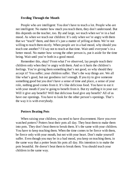## **Feeding Through the Mouth**

People who are intelligent: You don't have to teach a lot. People who are not intelligent: No matter how much you teach them, they don't understand. But this depends on the teacher, too. By and large, we teach when we're in a bad mood. As when we teach our children: It's only when we're angry with them that we "teach" them, and then it's just a matter of yelling at them. We're not willing to teach them nicely. When people are in a bad mood, why should you teach one another? I'd say not to teach at that time. Wait until everyone's in a better mood. No matter how wrong the other person is, put it aside for the time being. Wait until you're both in a good mood.

Remember this, okay? From what I've observed, lay people teach their children only when they're angry with them. And so it hurts the children's feelings. You're giving them something that's not good, so why should they accept it? You suffer; your children suffer. That's the way things are. We all like what's good, but our goodness isn't enough. If you try to give someone something good but you don't have a sense of time and place, a sense of your role, nothing good comes from it. It's like delicious food. You have to eat it with your mouth if you're going to benefit from it. But try stuffing it in your ear: Will it give any benefit? Will that delicious food give any benefit? All of us have our openings. You have to look for the other person's openings. That's the way it is with everybody.

## **Potters Beating Pots**

When raising your children, you need to have discernment. Have you ever watched potters? Potters beat their pots all day. They beat them to make them into pots. They don't beat them to break them. It's the same with your children. You have to keep teaching them. When the time comes to be fierce with them, be fierce only with your mouth, but not with your heart. Don't make yourself suffer. Even though you may be in a bad mood, you keep on teaching them, in the same way that a potter beats his pots all day. His intention is to make the pots beautiful. He doesn't beat them to break them. You should teach your children in the same way.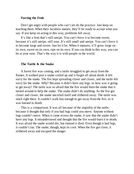### **Forcing the Fruit**

Don't get angry with people who can't yet do the practice. Just keep on teaching them. When their faculties mature, they'll be ready to accept what you say. If you keep on acting in this way, problems fall away.

It's like a fruit that's still unripe. You can't force it to become sweet, because it's still unripe, still sour. It's still small and unripe. You can't force it to become large and sweet. Just let it be. When it matures, it'll grow large on its own, sweet on its own, ripe on its own. If you can think in this way, you can be at your ease. That's the way it is with people in the world.

#### **The Turtle & the Snake**

A forest fire was coming, and a turtle struggled to get away from the flames. It walked past a snake coiled up and it forgot all about death. It felt sorry for the snake. The fire kept spreading closer and closer, and the turtle felt sorry for the snake. Why? Because it didn't have any legs, so how was it going to get away? The turtle was so afraid that the fire would burn the snake that it turned around to help the snake. The snake didn't do anything. As the fire got closer and closer, the snake uncoiled itself and slithered away. The turtle was stuck right there. It couldn't walk fast enough to get away from the fire, so it was burned to death.

This is a comparison. It was all because of the stupidity of the turtle, because it thought that only if you had legs could you move. Anyone without legs couldn't move. When it came across the snake, it saw that the snake didn't have any legs. It misunderstood and thought that the fire would burn it to death. It was afraid the snake would die, but instead *it* died. Even though it had legs, it couldn't run. The snake, though, kept its cool. When the fire got close, it slithered away and escaped the danger.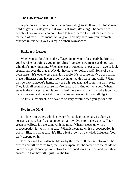### **The Cow Knows the Field**

A person with conviction is like a cow eating grass. If we let it loose in a field of grass, it eats grass. If it won't eat grass, it's a pig. The same with people of conviction: You don't have to teach them a lot. Just let them loose in the field of merit—the monastic Sangha—and they'll follow your example, practice in line with your example of their own accord.

#### **Barking at Leaves**

When you go for alms in the village, put on your robes neatly before you go. Exercise restraint as you go for alms. I've seen new monks and novices who don't know anything. When they eat in someone's house, they have to look around, all over the place. Why do they have to look around? Some of them even stare—it's even worse than lay people. It's because they've been living in the wilderness and haven't seen anything like this for a long while. When they go into someone's home, they see this, see that, and it pulls at their eyes. They look all around because they're hungry. It's kind of like a dog: When it stays in the village market, it doesn't bark very much. But if you take it out into the wilderness and the wind blows the leaves around, it barks all night.

So this is important. You have to be very careful when you go for alms.

#### **Dye in the Mind**

It's like rain water, which is water that's clear and clean. Its clarity is normally clean. But if we put green or yellow dye into it, the water will turn green or yellow. It's the same with the mind. When it meets up with a preoccupation it likes, it's at ease. When it meets up with a preoccupation it doesn't like, it's ill at ease. It's like a leaf blown by the wind. It flutters. You can't depend on it.

Flowers and fruits also get blown by the breeze. If they get blown by the breeze and fall from the tree, they never ripen. It's the same with the minds of human beings. Preoccupations blow them around, drag them around, pull them around, so that they fall—just like the fruit.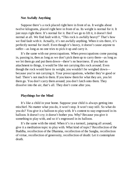## **Not Awfully Anything**

Suppose there's a rock placed right here in front of us. It weighs about twelve kilograms, placed right here in front of us. Its weight is normal for it. It just stays right there. It's normal for it. But if we go to lift it, it doesn't feel normal at all. We find fault with it, "This rock is awfully heavy!" That's how we find fault with it. Actually, it's not awfully anything. When it sits there, it's perfectly normal for itself. Even though it's heavy, it doesn't cause anyone to suffer—as long as no one tries to pick it up and carry it.

It's the same with our preoccupations. When preoccupations come passing in, passing in, then as long as we don't pick them up to carry them—as long as we let them go and put them down—there's no heaviness. If you had no attachment to things, it would be like not carrying this rock around. Even though the rock would have its weight, you wouldn't be weighed down because you're not carrying it. Your preoccupations, whether they're good or bad: There's not much to them. If you know them for what they are, you let them go. You don't carry them around; you don't latch onto them. They dissolve into the air, that's all. They don't come after you.

## **Playthings for the Mind**

It's like a child in your home. Suppose your child is always getting into mischief. No matter what you do, it won't stop. It won't stay still. So what do you do? You give it a balloon to play with. It's content to stay engrossed in its balloon. It doesn't cry; it doesn't bother you. Why? Because you give it something to play with, and so it's engrossed in its balloon.

It's the same with the mind. When it's in a turmoil, jumping all around, give it a meditation topic to play with. What kind of topic? Recollection of the Buddha, recollection of the Dhamma, recollection of the Sangha, recollection of virtue, recollection of generosity, recollection of death: Let it contemplate death.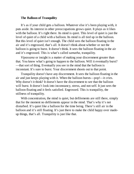## **The Balloon of Tranquility**

It's as if your child gets a balloon. Whatever else it's been playing with, it puts aside. Its interest in other preoccupations grows quiet. It plays as it likes with the balloon. It's right there. Its mind is quiet. This level of quiet is just the level of quiet of a child with a balloon. Its mind is all tied up in the balloon. But this level of quiet isn't enough. The child sees the balloon floating in the air and it's engrossed, that's all. It doesn't think about whether or not the balloon is going to burst. It doesn't think. It sees the balloon floating in the air and it's engrossed. This is what's called *samatha,* tranquility.

*Vipassana* or insight is a matter of making your discernment greater than that. You know what's going to happen to the balloon. Will it eventually burst? —that sort of thing. Eventually you see in the mind that the balloon is inconstant. It's sure to burst. Your discernment shoots out to that point.

Tranquility doesn't have any discernment. It sees the balloon floating in the air and just keeps playing with it. When the balloon bursts—pop!—it cries. Why doesn't it think? It doesn't have the discernment to see that the balloon will burst. It doesn't look into inconstancy, stress, and not-self. It just sees the balloon floating and it feels satisfied. Engrossed. This is tranquility, the stillness of tranquility.

With concentration, the mind is quiet, but defilements are still there, simply that for the moment no defilements appear in the mind. That's why it's not disturbed. It's quiet like a balloon for the time being. There's still air in the balloon and it's still floating. It's just there to make the child happy over madeup things, that's all. Tranquility is just like that.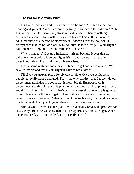# **The Balloon is Already Burst**

It's like a child or an adult playing with a balloon. You see the balloon floating and you ask, "What's eventually going to happen to the balloon?" "Oh. It's not for sure. It's inconstant, stressful, and not-self. There's nothing dependable about it. Eventually it's sure to burst." This is the view of the adult, the view of a person of discernment. It doesn't trust the balloon. It always sees that the balloon will burst for sure. It sees clearly. Eventually the balloon bursts—boom!—and the mind is still at ease.

Why is it at ease? Because insight has arisen, because it sees that the balloon is burst before it bursts, right? It's already burst. It bursts after it's burst in our view. That's why no problem arises.

It's the same with our body, or any object we get and we love a lot: We have to understand that eventually it'll have to break down.

I'll give you an example: a lovely cup or plate. Once we get it, some people get really happy and glad. That's the way children are. People without discernment think that it's good, that it won't break. But people with discernment see this glass or this plate, when they get it and happiness arises, and think, "Hmm. This is just… that's all. It's a vessel that one day is going to have to leave us. It'll have to get broken. If it doesn't break and leave us, *we* have to break and leave it." When you can think in this way, the mind has gone to a high level. It's trying to gain release from suffering and stress.

After a while, as we use the plate and it eventually breaks, no problem can arise. Why? Because we know that it's already broken. This is insight. When this glass breaks, it's no big deal. It's perfectly normal.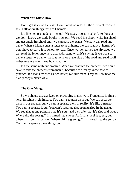## **When You Know How**

Don't get stuck on the texts. Don't focus on what all the different teachers say. Talk about things that are Dhamma.

It's like being a student in school. We study books in school. As long as we don't know, we study books in school. We read in school, write in school, and get taught in school until we can pass the exams. We now can read and write. When a friend sends a letter to us at home, we can read it at home. We don't have to carry it to school to read. Once we've learned the alphabet, we can read the letter anywhere and understand what it's saying. If we want to write a letter, we can write it at home or at the side of the road and send it off —because we now know how to write.

It's the same with our practice. When we practice the precepts, we don't have to take the precepts from monks, because we already know how to practice. If a monk teaches us, we listen; we take them. They still count as the five precepts either way.

### **The One Mango**

So we should always keep on practicing in this way. Tranquility is right in here; insight is right in here. You can't separate them out. We can separate them in our speech, but we can't separate them in reality. It's like a mango: You can't separate it out. You can't separate ripe from unripe in the mango. We see that at one point in time it's sour, and then after that it's ripe and sweet. Where did the sour go? It's turned into sweet. At first its peel is green, but when it's ripe, it's yellow. Where did the green go? It's turned into the yellow. You can't separate these things out.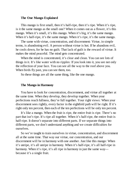## **The One Mango Explained**

This mango is first small, then it's half-ripe, then it's ripe. When it's ripe, is it the same mango as the small one? When it comes out as a flower, it's this mango. When it's small, it's this mango. When it's big, it's the same mango. When it's half-ripe, it's the same mango. When it's ripe, it's the same mango.

The same with virtue, concentration, and discernment: Virtue, in simple terms, is abandoning evil. A person without virtue is hot. If he abandons evil, he cools down, for he has no guilt. That lack of guilt is the reward of virtue. It makes the mind peaceful. The mind gets concentrated.

When the mind is concentrated, it's clear and clean. You can see lots of things in it. It's like water with no ripples: If you look into it, you see not only the reflection of your face. You can see all the way to the roof above you. When birds fly past, you can see them, too.

So these things are all the same thing, like the one mango.

#### **The Mango in Harmony**

You have to look for concentration, discernment, and virtue all together at the same time. When they develop, they develop together. When your perfections reach fullness, they're full together. Your right views: When your discernment sees rightly, every factor in the eightfold path will be right. If it's right only ten percent, then each of the ten perfections will be only ten percent.

It's like a mango. When the fruit is ripe, the entire fruit is ripe. There's no part that isn't ripe. It's ripe all together. When it's half-ripe, the entire fruit is half-ripe. It doesn't separate into different parts. If we separate things into different parts, we don't understand anything and we create difficulties for ourselves.

So we're taught to train ourselves in virtue, concentration, and discernment all at the same time. That way our virtue, our concentration, and our discernment will be in harmony with one another. Just like this mango: When it's unripe, it's all unripe in harmony. When it's half-ripe, it's all half-ripe in harmony. When it's ripe, it's all ripe in harmony in just the same way because it's a single fruit.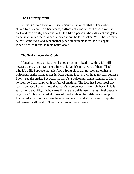# **The Fluttering Mind**

Stillness of mind without discernment is like a leaf that flutters when stirred by a breeze. In other words, stillness of mind without discernment is dark and then bright, back and forth. It's like a person who eats meat and gets a piece stuck in his teeth. When he pries it out, he feels better. When he's hungry he eats some more and gets another piece stuck in his teeth. It hurts again. When he pries it out, he feels better again.

## **The Snake under the Cloth**

Mental stillness, on its own, has other things mixed in with it. It's still because there are things mixed in with it, but it's not aware of them. That's why it's still. Suppose that this foot-wiping cloth that my feet are on has a poisonous snake living under it. I can put my feet here without any fear because I don't see the snake. But actually, there's a poisonous snake right here. I have no idea, so I can relax, with no fear of anything. The fact that I don't feel any fear is because I don't know that there's a poisonous snake right here. This is *samatha:* tranquility. "Who cares if there are defilements there? I feel peaceful right now." This is called stillness of mind without the defilements being still. It's called *samatha.* We train the mind to be still so that, in the next step, the defilements will be still. That's an affair of discernment.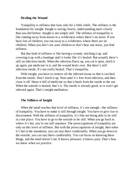# **Healing the Wound**

Tranquility is stillness that lasts only for a little while. The stillness is the foundation for insight. Insight is seeing clearly, understanding more clearly than you did before. Insight is not simply still. The stillness of tranquility is like running away from noises to a wilderness where there's no noise. If you have lots of children, you run away to a wilderness where there are no children. When you don't see your children or don't hear any noise, you find stillness.

But that kind of stillness is like having a wound, stitching it up, and covering it up with a bandage until it looks like it's healed. But actually there's still an infection inside. When the infection flares up, you cut it open, stitch it up again, put medicine in it, and the wound heals over. But there's still infection inside. It's not really healed. That's tranquility.

With insight, you have to remove all the infected tissue so that it can heal from the inside. Don't stitch it up. Wait until it's free from infection, and then close it off. Shoot it full of medicine so that it heals from the inside to the out. When the outside is healed, that's it. The inside is already good, so it won't get infected again. That's insight meditation.

#### **The Stillness of Insight**

When the mind reaches that level of stillness, it's not enough—the stillness of tranquility. You have to make it still through insight. You have to give rise to discernment. With the stillness of tranquility, it's like not being able to be still in a hot place. You have to go to the seaside to be still. When you go back to where it's hot, you're not still anymore. The preoccupations of tranquility are only on this level of stillness. But with the preoccupations of insight, then when it's hot in the mountains, you can stay there comfortably. When you go down to the seaside, you can stay there comfortably. You can focus on knowing these things, and the mind doesn't run. It knows pleasure; it knows pain. That's how we know when we practice.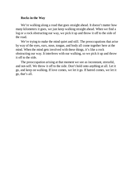# **Rocks in the Way**

We're walking along a road that goes straight ahead. It doesn't matter how many kilometers it goes, we just keep walking straight ahead. When we find a log or a rock obstructing our way, we pick it up and throw it off to the side of the road.

We're trying to make the mind quiet and still. The preoccupations that arise by way of the eyes, ears, nose, tongue, and body all come together here at the mind. When the mind gets involved with these things, it's like a rock obstructing our way. It interferes with our walking, so we pick it up and throw it off to the side.

The preoccupation arising at that moment we see as inconstant, stressful, and not-self. We throw it off to the side. Don't hold onto anything at all. Let it go, and keep on walking. If love comes, we let it go. If hatred comes, we let it go, that's all.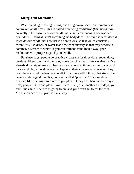## **Killing Your Meditation**

When standing, walking, sitting, and lying down, keep your mindfulness continuous at all times. This is called practicing meditation *(kammatthana)* correctly. The reason why our mindfulness isn't continuous is because we don't do it. "Doing it" isn't something the body does. The mind is what does it. If we do our mindfulness so that it's continuous, so that we're constantly aware, it's like drops of water that flow continuously so that they become a continuous stream of water. If you can train the mind in this way, your meditation will progress quickly and well.

But these days, people go practice vipassana for three days, seven days, ten days, fifteen days, and then they come out of retreat. They say that they've already done vipassana and they're already good at it. So they go to sing and dance and play around. When that happens, their vipassana is gone and they don't have any left. When they do all kinds of unskillful things that stir up the heart and damage it like this, you can't call it "practice." It's a mode of practice like planting a tree where you plant it today and then, in three days' time, you pull it up and plant it over there. Then, after another three days, you pull it up again. The tree is going to die and you won't get to eat the fruit. Meditation can die in just the same way.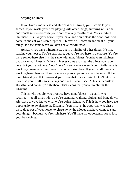# **Staying at Home**

If you have mindfulness and alertness at all times, you'll come to your senses. If you waste your time playing with other things, suffering will arise and you'll suffer—because you don't have any mindfulness. Your alertness isn't here. It's like your home. If you leave and don't close the door, dogs will come in and eat your stored-up rice. Thieves will come in and steal all your things. It's the same when you don't have mindfulness.

Actually, you have mindfulness, but it's mindful of other things. It's like leaving your house. You're still there, but you're not there in the house. You're there somewhere else. It's the same with mindfulness. You have mindfulness, but your mindfulness isn't here. Thieves come and steal the things you have here, but you're not here. Your "here" is somewhere else. Your mindfulness is working somewhere over there. It's not working here. If your mindfulness is working here, then you'll sense when a preoccupation strikes the mind. If the mind likes it, you'll know—and you'll see that it's inconstant. Don't latch onto it or else you'll fall into suffering and stress. You'll see: "This is inconstant, stressful, and not-self," right there. That means that you're practicing the Dhamma.

This is why people who practice have mindfulness—the ability to recollect—at all times while they're standing, walking, sitting, and lying down. Alertness always knows what we're doing right now. This is how you have the opportunity to awaken to the Dhamma. You'll have the opportunity to chase these dogs out of your home, to chase away the thieves that have come to steal your things—because you're right here. You'll have the opportunity not to lose your belongings.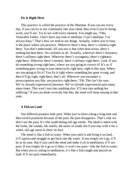# **Fix It Right Here**

This practice is called the practice of the Dhamma. If you can see every day, if you can try to see continually into your mind, then even if you're doing work, you'll see. Try to see with every moment. You might say, "Oho, Venerable Father, I don't have any time to meditate. I can't meditate. I'm always busy." That's how we tend to see things. Actually, where you're busy is the place where you practice. Wherever there's heat, there's coolness right there. You don't understand. All you see is that when heat arises, there's nothing but heat there. No coolness at all. Actually, wherever there's busyness, there's stillness right there. Wherever there's wrongness, there's rightness right there. Wherever there's turmoil, there's stillness right there. Look. If you do something wrong right here, where are you going to correct it? It's as if something goes wrong in your motorcycle right here, right in this spot. Where are you going to fix it? You fix it right where something has gone wrong, and then it'll go right, right there, that's all. Wherever you encounter a preoccupation you like, you practice right there: "Oh. This isn't for sure. We've already experienced pleasure. We've already experienced pain many, many times. This won't turn into anything else. It'll turn into nothing but suffering." If you can think correctly like this, the mind will keep staying in that state.

#### **A Fish on Land**

Our different postures hide pain. When you've been sitting a long time and then switch positions because of the pain, the pain disappears. That's why we don't see the pain. It's like youth hiding old age inside. The mind is taken with the looks, the sounds, the smells, the tastes of youth, but if you stay with it for a while, old age starts to show its face.

The mind is like a fish in water. When you catch it and bring it on land, it'll squirm and struggle to get back into the water. If you simply let it go, it'll be at its ease. But if you catch the mind and make it sit in meditation, it'll see pain. If you simply let it go as it likes, it won't see pain—like the fish in water. But when you try sitting in meditation, it's like a fish caught and placed on land. It'll see pain immediately.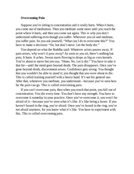# **Overcoming Pain**

Suppose you're sitting in concentration and it really hurts. When it hurts, you come out of meditation. Then you meditate some more until you reach the point where it hurts, and then you come out again. This is why you don't understand suffering even though you suffer. Wherever you sit and meditate, you suffer pain. So you ask yourself, "What can I do to overcome this?" You have to make a decision: "Sit, but don't move. Let the body die."

You depend on what the Buddha said: Whatever arises passes away. If pain arises, why won't it pass away? As soon as you sit, there's nothing but pain. It hurts. It aches. Sweat starts flowing in drops as big as corn kernels. You're about to move but you say, "Hmm. No. Let it die." You have to take it that far—until the mind goes beyond death. The pain disappears. Once you've gone beyond death, discernment arises. Confidence gets strong. You thought that you wouldn't be able to stand it; you thought that you were about to die. This is called training yourself with a heavy hand. It's not for general use. After that, whenever you meditate, you understand—because you've seen how far the pain can go. This is called overcoming pain.

If you can't overcome pain, then when you reach that point, you fall out of concentration. You die every time. You don't have any strength. You have to overcome it someday in your practice. Once you've overcome it, you won't be afraid of it—because you've seen what it's like. It's like being a boxer. If you haven't boxed in the ring, you're afraid. Once you've boxed in the ring, you're not afraid anymore, for you know what it's like. You have to experiment with this. This is called overcoming pain.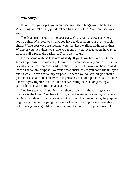# **Why Study?**

If you close your eyes, you won't see any light. Things won't be bright. When things aren't bright, you don't see light and colors. You don't see your way.

The Dhamma of study is like your eyes. Your eyes help you see where you're going. Wherever you walk, you have to depend on your eyes to look ahead. While your eyes are looking, your feet keep walking at the same time. Whatever your activities, you have to depend on your eyes to open the way, to forge a trail through the darkness. That's their nature.

It's the same with the Dhamma of study. If you know how to put it to use, it serves a purpose. If you don't put it to use, it won't serve any purpose. It's like having a knife that you hone until it's sharp. If you put it away without using it, it won't serve any purpose. No matter how sharp it is, if you don't use it, if you put it away, it won't serve any purpose. So when you've studied, you should put it to use so as to benefit from it. If you study but don't put it to use, it's like a farmer growing rice in a field but not harvesting the rice, or growing a garden but not harvesting the vegetables.

You have to study first. Only then should you think about going out to practice in the forest. You have to study what the aim of practicing in the forest is. Only then should you go practice in the forest. It's like knowing the purpose of growing rice before you grow rice, or the purpose of growing vegetables before you grow vegetables. Know the aim, the purpose, of practicing in the forest.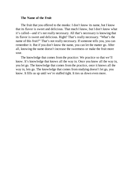### **The Name of the Fruit**

The fruit that you offered to the monks: I don't know its name, but I know that its flavor is sweet and delicious. That much I know, but I don't know what it's called—and it's not really necessary. All that's necessary is knowing that its flavor is sweet and delicious. Right? That's really necessary. "What's the name of this fruit?" That's not really necessary. If someone tells you, you can remember it. But if you don't know the name, you can let the matter go. After all, knowing the name doesn't increase the sweetness or make the fruit more sour.

The knowledge that comes from the practice: We practice so that we'll know. It's knowledge that knows all the way in. Once you know all the way in, you let go. The knowledge that comes from the practice, once it knows all the way in, lets go. The knowledge that comes from studying doesn't let go, you know. It fills us up until we're stuffed tight. It ties us down even more.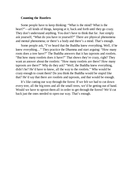## **Counting the Rootlets**

Some people have to keep thinking: "What is the mind? What is the heart?"—all kinds of things, keeping at it, back and forth until they go crazy. They don't understand anything. You don't have to think that far. Just simply ask yourself, "What do you have in yourself?" There are physical phenomena and mental phenomena; or there's a body and there's a mind. That's enough.

Some people ask, "I've heard that the Buddha knew everything. Well, if he knew everything…" They practice the Dhamma and start arguing: "How many roots does a tree have?" The Buddha answers that it has taproots and rootlets. "But how many rootlets does it have?" That shows they're crazy, right? They want an answer about the rootlets: "How many rootlets are there? How many taproots are there?" Why do they ask? "Well, the Buddha knew everything, didn't he? He'd have to know, all the way to the rootlets." Who would be crazy enough to count them? Do you think the Buddha would be stupid like that? He'd say that there are rootlets and taproots, and that would be enough.

It's like cutting our way through the forest. If we felt we had to cut down every tree, all the big trees and all the small trees, we'd be getting out of hand. Would we have to uproot them all in order to get through the forest? We'd cut back just the ones needed to open our way. That's enough.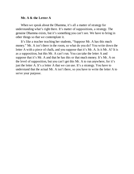# **Mr. A & the Letter A**

When we speak about the Dhamma, it's all a matter of strategy for understanding what's right there. It's matter of suppositions, a strategy. The genuine Dhamma exists, but it's something you can't see. We have to bring in other things so that we contemplate it.

It's like a teacher teaching her students, "Suppose Mr. A has this much money." Mr. A isn't there in the room, so what do you do? You write down the letter A with a piece of chalk, and you suppose that it's Mr. A. Is it Mr. A? It is as a supposition, but this Mr. A can't run. You can take the letter A and suppose that it's Mr. A and that he has this or that much money. It's Mr. A on the level of supposition, but you can't get this Mr. A to run anywhere, for it's just the letter A. It's a letter A that we can use. It's a strategy. You have to understand that the actual Mr. A isn't there, so you have to write the letter A to serve your purpose.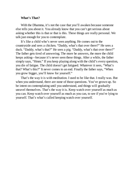## **What's That?**

With the Dhamma, it's not the case that you'll awaken because someone else tells you about it. You already know that you can't get serious about asking whether this is that or that is this. These things are really personal. We talk just enough for you to contemplate.

It's like a child who's never seen anything. He comes out to the countryside and sees a chicken. "Daddy, what's that over there?" He sees a duck. "Daddy, what's that?" He sees a pig. "Daddy, what's that over there?" The father gets tired of answering. The more he answers, the more the child keeps asking—because it's never seen these things. After a while, the father simply says, "Hmm." If you keep playing along with the child's every question, you die of fatigue. The child doesn't get fatigued. Whatever it sees, "What's that? What's this?" It never comes to an end. Finally the father says, "When you grow bigger, you'll know for yourself."

That's the way it is with meditation. I used to be like that. I really was. But when you understand, there are none of those questions. You've grown up. So be intent on contemplating until you understand, and things will gradually unravel themselves. That's the way it is. Keep watch over yourself as much as you can. Keep watch over yourself as much as you can, to see if you're lying to yourself. That's what's called keeping watch over yourself.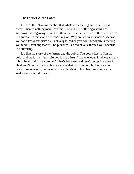### **The Farmer & the Cobra**

In short, the Dhamma teaches that whatever suffering arises will pass away. There's nothing more than this. There's just suffering arising and suffering passing away. That's all there is, which is why we suffer, why we're in a turmoil in this cycle of wandering-on. Why are we in a turmoil? Because we don't know this truth as it actually is. When you don't recognize suffering, you feed it, thinking that it'll be pleasure. But eventually it bites you, because it's suffering.

It's like the story of the farmer and the cobra. The cobra lies stiff in the cold, and the farmer feels pity for it. He thinks, "I have enough kindness to help this animal find some comfort." That's because he doesn't recognize what it is. He doesn't recognize that this is a snake that can bite people. Because he doesn't recognize it, he picks it up and holds it to his chest. As soon as the snake warms up, it bites us.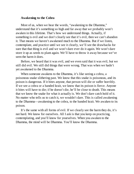## **Awakening to the Cobra**

Most of us, when we hear the words, "awakening to the Dhamma," understand that it's something so high and far away that we probably won't awaken in this lifetime. That's how we understand things. Actually, if something is evil and we don't clearly see that it's evil, then we can't abandon it. That means we haven't awakened much to the Dhamma. But if we listen, contemplate, and practice until we see it clearly, we'll see the drawbacks for sure that that thing is evil and we won't dare ever do it again. We won't dare store it up as seeds to plant again. We'll have to throw it away because we've seen the harm it does.

Before, we heard that it was evil, and we even said that it was evil, but we still did evil. We still did things that were wrong. That was when we hadn't yet awakened to the Dhamma.

When someone awakens to the Dhamma, it's like seeing a cobra, a poisonous snake slithering past. We know that this snake is poisonous, and its poison is dangerous. If it bites anyone, that person will die or suffer horribly. If we see a cobra or a banded krait, we know that its poison is fierce. Anyone it bites will have to die; if he doesn't die, he'll be close to death. This means that we know the snake for what it actually is. We don't dare catch hold of it. No matter who tells us to catch it, we wouldn't dare. This is called awakening to the Dhamma—awakening to the cobra, to the banded krait. We awaken to its poison.

It's the same with all forms of evil. If we clearly see the harm they do, it's not hard. We know for ourselves. All I ask is that you keep on practicing, contemplating, and you'll know for yourselves. When you awaken to the Dhamma, the mind will be Dhamma. You'll know the Dhamma.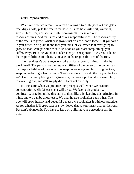## **Our Responsibilities**

When we practice we're like a man planting a tree. He goes out and gets a tree, digs a hole, puts the tree in the hole, fills the hole with soil, waters it, gives it fertilizer, and keeps it safe from insects. These are our responsibilities. And that's the end of our responsibilities. The responsibility of the tree is to grow. Whether it grows fast or slow, don't force it. If you force it, you suffer. You plant it and then you think, "Hey. When is it ever going to grow so that I can get some fruit?" As soon as you start complaining, you suffer. Why? Because you don't understand your responsibilities. You take on the responsibilities of others. You take on the responsibilities of the tree.

The tree doesn't want anyone to take on its responsibilities. It'll do the work itself. The person has the responsibilities of the person. The owner has the responsibilities of the owner: to keep on watering and fertilizing the tree, to keep on protecting it from insects. That's our duty. If we do the duty of the tree —"Oho. It's really taking a long time to grow"—we pull on it to make it tall, to make it grow, and it'll simply die. That's not our duty.

It's the same when we practice our precepts well, when we practice concentration well: Discernment will arise. We keep at it gradually, continually, practicing like this, able to think like this, keeping this principle in mind, and we can be at our ease. We and the tree look after each other. The tree will grow healthy and beautiful because we look after it with our practice. As for whether it'll grow fast or slow, leave that to your merit and perfections. But don't abandon it. You have to keep on building your perfections all the time.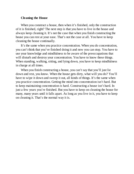# **Cleaning the House**

When you construct a house, then when it's finished, only the construction of it is finished, right? The next step is that you have to live in the house and always keep cleaning it. It's not the case that when you finish constructing the house you can rest at your ease. That's not the case at all. You have to keep cleaning the house continually.

It's the same when you practice concentration. When you do concentration, you can't think that you've finished doing it and now you can stop. You have to use your knowledge and mindfulness to be aware of the preoccupations that will disturb and destroy your concentration. You have to know these things. When standing, walking, sitting, and lying down, you have to keep mindfulness in charge at all times.

When you finish constructing a house, you can't say that you'll just lie. down and rest, you know. When the house gets dirty, what will you do? You'll have to wipe it down and sweep it out, all kinds of things. It's the same when you practice concentration. Getting the mind into concentration isn't hard. But to keep maintaining concentration *is* hard. Constructing a house isn't hard. In just a few years you're finished. But you have to keep on cleaning the house for many, many years until it falls apart. As long as you live in it, you have to keep on cleaning it. That's the normal way it is.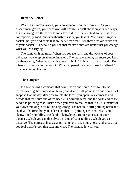### **Better & Better**

When discernment arises, you can abandon your defilements. As your discernment grows, your behavior will change. You'll abandon your old ways. It's like going into the forest to look for fruit. At first you find some fruit that's not especially good, but even though it's sour, you take it. You carry it in your basket until you find fruits that are better than that. You throw the old fruits out of your basket. It's because you see that the new ones are better that you change what you're carrying.

The same with the mind: When you see the harm and drawbacks of your old ways, you keep on abandoning them. The more you look, the more you keep on abandoning. When you practice, you'll think, "This is it. This is good." But when you practice further—"Oh. What happened then wasn't really refined." So you abandon that, too.

## **The Compass**

It's like having a compass that points north and south. You go into the forest carrying the compass with you, and it will still point north and south. But suppose that the day after you go into the forest you open your compass and decide that the south end of the needle is pointing west, and the north end of the needle is pointing east. That's when you have to realize that it's just a matter of your own thinking. You're thinking wrong. The needle's still pointing north and south all the time, but you understand that it's pointing east and west. You "know" and you follow this kind of knowledge. But it's an issue of your thoughts, which you can dissolve; an issue of your feelings, which you can dissolve. The compass is always pointing north and south, north and south, but you feel that it's pointing east and west. The mistake is with you.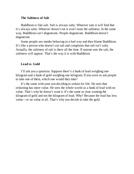# **The Saltiness of Salt**

Buddhism is like salt. Salt is always salty. Whoever eats it will find that it's always salty. Whoever doesn't eat it won't taste the saltiness. In the same way, Buddhism can't degenerate. People degenerate. Buddhism doesn't degenerate.

Some people see monks behaving in a bad way and they blame Buddhism. It's like a person who doesn't eat salt and complains that salt isn't salty. Actually, the saltiness of salt is there all the time. If anyone eats the salt, the saltiness will appear. That's the way it is with Buddhism.

## **Lead** *vs.* **Gold**

I'll ask you a question. Suppose there's a hunk of lead weighing one kilogram and a hunk of gold weighing one kilogram. If you were to ask people to take one of them, which one would they take?

It's the same with your son deciding to ordain for life. He sees that ordaining has more value. He sees the whole world as a hunk of lead with no value. That's why he doesn't want it. It's the same as your wanting the kilogram of gold and not the kilogram of lead. Why? Because the lead has less value—or no value at all. That's why you decide to take the gold.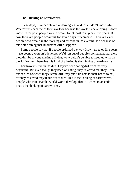# **The Thinking of Earthworms**

These days, Thai people are ordaining less and less. I don't know why. Whether it's because of their work or because the world is developing, I don't know. In the past, people would ordain for at least four years, five years. But now there are people ordaining for seven days, fifteen days. There are even people who ordain in the morning and disrobe in the evening. It's because of this sort of thing that Buddhism will disappear.

Some people say that if people ordained the way I say—three or five years —the country wouldn't develop. We'd run out of people staying at home; there wouldn't be anyone making a living; we wouldn't be able to keep up with the world. So I tell them that this kind of thinking is the thinking of earthworms.

Earthworms live in the dirt. They've been eating dirt from the very beginning. But even though they keep on eating, they're afraid that they'll run out of dirt. So when they excrete dirt, they put it up next to their heads to eat, for they're afraid they'll run out of dirt. This is the thinking of earthworms. People who think that the world won't develop, that it'll come to an end: That's the thinking of earthworms.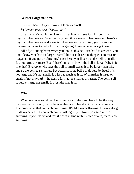## **Neither Large nor Small**

This bell here: Do you think it's large or small? *[A layman answers: "Small, sir."]*

Small, eh? It's not large? Hmm. Is that how you see it? This bell is a physical phenomenon. Your feeling about it is a mental phenomenon. There's a physical phenomenon and a mental phenomenon: your mind, your intention. Craving can want to make this bell larger right now or smaller right now.

All of you sitting here: When you look at this bell, it's hard to answer. You don't know whether it's large or small because there's nothing else to measure it against. If you put an alms bowl right here, you'll see that the bell is small. It's not large any more. But if there's no alms bowl, the bell is large. Why is it like that? Everyone who says the bell is small wants it to be larger than this, and so the bell gets smaller. But actually, if the bell stands here by itself, it's not large and it's not small. It's just as much as it is. What makes it large or small, if not craving?—the desire for it to be smaller or larger. The bell itself is neither large nor small. It's just the way it is.

## **Why**

When we understand that the movements of the mind have to be the way they are on their own, that's the way they are. They don't "why" anyone at all. The problem is that we latch onto things. It's like water flowing. It flows along in its water way. If you latch onto it, asking why it flows, you give rise to suffering. If you understand that it flows in line with its own affairs, there's no suffering.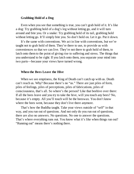# **Grabbing Hold of a Dog**

Even when you see that something is true, you can't grab hold of it. It's like a dog: Try grabbing hold of a dog's leg without letting go, and it will turn around and bite you. Or a snake: Try grabbing hold of its tail, grabbing hold without letting go. It'll simply bite you. So don't hold on. Let it go. Put it down.

It's the same with conventions. We act in line with conventions, but we're taught not to grab hold of them. They're there to use, to provide us with conveniences so that we can live. They're not there to grab hold of them, to latch onto them to the point of giving rise to suffering and stress. The things that you understand to be right: If you latch onto them, you separate your mind into two parts—because your views have turned wrong.

### **When the Bees Leave the Hive**

When we see emptiness, the King of Death can't catch up with us. Death can't reach us. Why? Because there's no "us." There are just piles of form, piles of feelings, piles of perceptions, piles of fabrications, piles of consciousness, that's all. So where's the person? Like that beehive over there: If all the bees leave and you try to take the hive, will you touch any bees? No, because it's empty. All you'll touch will be the beeswax. You don't know where the bees went, because they don't live there anymore.

That's how the Buddha taught. Take your views outside of "self" in that way, and you run out of questions. And not only do you run out of questions, there are also no answers. No questions. No one to answer the questions. That's where everything runs out. You know what it's like when things run out? "Running out" means there's nothing there.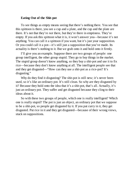# **Eating Out of the Shit-pot**

To see things as empty means seeing that there's nothing there. You see that this spittoon is there, you see a cup and a plate, and the cup and the plate are there. It's not that they're *not* there, but they're there in emptiness. They're empty. If you ask this spittoon what it is, it won't answer you—because it's not anything. You can call it a spittoon if you want, but it's just your supposition. Or you could call it a pot—it's still just a supposition that you've made. Its actuality is there's nothing to it. But we grab onto it and hold onto it firmly.

I'll give you an example. Suppose there are two groups of people: one group intelligent, the other group stupid. They go to buy things in the market. The stupid group doesn't know anything, so they buy a shit-pot and use it to fix rice—because they don't know anything at all. The intelligent people see that and they get disgusted—"How can they use a shit-pot as a rice-pot? It's disgusting."

Why do they find it disgusting? The shit-pot is still new; it's never been used, so it's like an ordinary pot. It's still clean. So why are they disgusted by it? Because they hold onto the idea that it's a shit-pot, that's all. Actually, it's just an ordinary pot. They suffer and get disgusted because they cling to their ideas about it.

So with these two groups of people, which one is really intelligent? Which one is really stupid? The pot is just an object, an ordinary pot that we suppose to be a shit-pot, so people get disgusted by it. If you put curry in it, they get disgusted. Put rice in it and they get disgusted—because of their wrong views, stuck on suppositions.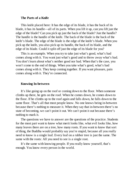### **The Parts of a Knife**

This knife placed here: It has the edge of its blade, it has the back of its blade, it has its handle—all of its parts. When you lift it up, can you lift just the edge of the blade? Can you pick up just the back of the blade? Just the handle? The handle is the handle of the knife. The back of the blade is the back of the knife's blade. The edge of the blade is the edge of the knife's blade. When you pick up the knife, you also pick up its handle, the back of its blade, and the edge of its blade. Could it split off just the edge of its blade for you?

This is an example. When you try to take just what's good, what's bad comes along with it. You want just what's good and to throw away what's bad. You don't learn about what's neither good nor bad. When that's the case, you won't come to the end of things. When you take what's good, what's bad comes along with it. They keep coming together. If you want pleasure, pain comes along with it. They're connected.

#### **Knowing In-between**

It's like going up on the roof or coming down to the floor. When someone climbs up there, he gets on the roof. When he comes down, he comes down to the floor. If he climbs up to the roof again and falls down, he falls down to the same floor. That's all that most people know. No one knows being in-between because there's nothing to measure it. When they say that in-between there's no state of becoming, we can't point it out. We can't point it out because there's nothing to mark it.

The questions we have to answer are the questions of the practice. Students for the most part want to know what merit looks like, what evil looks like, how many leaves there are on a tree, how many roots. If you want to know that sort of thing, the Buddha would probably say you're stupid, because all you really need to know is a single leaf. Every leaf on a rubber tree is just the same. The same with the roots: All you need to see is a single root.

It's the same with knowing people. If you really know yourself, that's enough. You know every person in the world.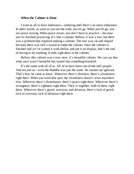## **When the Cabinet is Done**

I want us all to have endurance—enduring until there's no more endurance. In other words, as soon as you see the truth, you let go. When you let go, you see peace arising. When peace arises, you don't have to practice—because you've finished practicing. It's like a cabinet. Before, it was a tree, but there was a problem that required making a cabinet. The tree was cut and shaped because there was still a reason to make the cabinet. Once the cabinet is finished and we've coated it with shellac and put it on display, that's the end of having to do anything. It ends right there in the cabinet.

Before, this cabinet was a tree; now, it's beautiful cabinet. We can say that what once wasn't beautiful has turned into something beautiful.

It's the same with all of us. All of us have been run-of-the-mill people. And not just us—even the Buddha was just the same. He started out ignorant. That's how he came to know. Wherever there's dirtiness, there's cleanliness right there. When you wash that spot, the cleanliness doesn't arise anywhere else. Wherever there's disturbance, there's peace right there. Wherever there's wrongness, there's rightness right there. They're together, both of them, right there. Wherever there's greed, aversion, and delusion, there's lack of greed, lack of aversion, lack of delusion right there.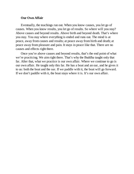## **Our Own Affair**

Eventually, the teachings run out. When you know causes, you let go of causes. When you know results, you let go of results. So where will you stay? Above causes and beyond results. Above birth and beyond death. That's where you stay. You stay where everything is ended and runs out. The mind is at peace, away from causes and results; at peace away from birth and death; at peace away from pleasure and pain. It stays in peace like that. There are no causes and effects right there.

Once you're above causes and beyond results, that's the end point of what we're practicing. We aim right there. That's why the Buddha taught only that far. After that, what we practice is our own affair. Where we continue to go is our own affair. He taught only this far. He has a boat and an oar, and he gives it to us: both the boat and the oar. If we paddle with it, the boat will go forward. If we don't paddle with it, the boat stays where it is. It's our own affair.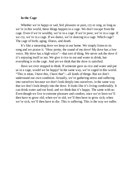#### **In the Cage**

Whether we're happy or sad, feel pleasure or pain, cry or sing, as long as we're in this world, these things happen in a cage. We don't escape from the cage. Even if we're wealthy, we're in a cage. If we're poor, we're in a cage. If we cry, we're in a cage. If we dance, we're dancing in a cage. Which cage? The cage of birth, aging, illness, and death.

It's like a mourning dove we keep in our home. We simply listen to its song and we praise it. "How pretty, the sound of my dove! My dove has a low voice. My dove has a high voice"—that sort of thing. We never ask the dove if it's enjoying itself or not. We give it rice to eat and water to drink, but everything is in the cage. And yet we think that the dove is satisfied.

Have we ever stopped to think: If someone gave us rice and water and put us in a cage, would we be happy? In the same way, we're caged in this world. "This is mine, I have this, I have that"—all kinds of things. But we don't understand our own condition. Actually, we're gathering stress and suffering into ourselves because we don't look deeply into ourselves, in the same way that we don't look deeply into the dove. It looks like it's living comfortably. It can drink water and eat food, and we think that it's happy. The same with us: Even though we live in extreme pleasure and comfort, once we're born we'll then have to grow old; when we're old, we'll then have to grow sick; when we're sick, we'll then have to die. This is suffering. This is the way we suffer.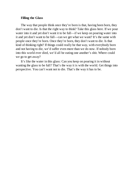# **Filling the Glass**

The way that people think once they're born is that, having been born, they don't want to die. Is that the right way to think? Take this glass here. If we pour water into it and yet don't want it to be full—if we keep on pouring water into it and yet don't want to be full—can we get what we want? It's the same with people once they're born. Once they're born, they don't want to die. Is that kind of thinking right? If things could really be that way, with everybody born and not having to die, we'd suffer even more than we do now. If nobody born into this world ever died, we'd all be eating one another's shit. Where could we go to get away?

It's like the water in this glass: Can you keep on pouring it in without wanting the glass to be full? That's the way it is with the world. Get things into perspective. You can't want not to die. That's the way it has to be.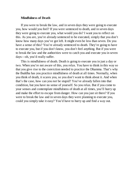### **Mindfulness of Death**

If you were to break the law, and in seven days they were going to execute you, how would you feel? If you were sentenced to death, and in seven days they were going to execute you, what would you do? I want you to reflect on this. As you are, you're already sentenced to be executed, simply that you don't know how many days you've got left. It might even be less than seven. Do you have a sense of this? You're already sentenced to death. They're going to have to execute you, but if you don't know, you don't feel anything. But if you were to break the law and the authorities were to catch you and execute you in seven days—oh, you'd really suffer.

This is mindfulness of death. Death is going to execute you in just a day or two. When you're not aware of this, you relax. You have to think in this way so that you give rise to the conviction needed to practice the Dhamma. That's why the Buddha has you practice mindfulness of death at all times. Normally, when you think of death, it scares you, so you don't want to think about it. And when that's the case, how can you *not* be stupid? You've already fallen into that condition, but you have no sense of yourself. So you relax. But if you come to your senses and contemplate mindfulness of death at all times, you'll hurry up and make the effort to escape from danger. How can you just sit there? If you were to break the law and in seven days they were planning to execute you, could you simply take it easy? You'd have to hurry up and find a way out.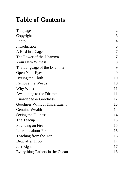# **Table of Contents**

| <b>Titlepage</b>                    | $\overline{2}$ |
|-------------------------------------|----------------|
| Copyright                           | 3              |
| Photo                               | 4              |
| Introduction                        | 5              |
| A Bird in a Cage                    | 7              |
| The Power of the Dhamma             | 7              |
| <b>Your Own Witness</b>             | 8              |
| The Language of the Dhamma          | 9              |
| <b>Open Your Eyes</b>               | 9              |
| Dyeing the Cloth                    | 10             |
| <b>Remove the Weeds</b>             | 10             |
| Why Wait?                           | 11             |
| Awakening to the Dhamma             | 11             |
| Knowledge & Goodness                | 12             |
| <b>Goodness Without Discernment</b> | 13             |
| <b>Genuine Wealth</b>               | 14             |
| Seeing the Fullness                 | 14             |
| The Teacup                          | 15             |
| Pouncing on Fire                    | 15             |
| Learning about Fire                 | 16             |
| Teaching from the Top               | 16             |
| Drop after Drop                     | 17             |
| Just Right                          | 17             |
| Everything Gathers in the Ocean     | 18             |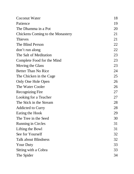| Coconut Water                    | 18 |
|----------------------------------|----|
| Patience                         | 19 |
| The Dhamma in a Pot              | 20 |
| Chickens Coming to the Monastery | 21 |
| <b>Thieves</b>                   | 21 |
| The Blind Person                 | 22 |
| don't run along                  | 22 |
| The Salt of Meditation           | 23 |
| Complete Food for the Mind       | 23 |
| Moving the Glass                 | 23 |
| <b>Better Than No Rice</b>       | 24 |
| The Chicken in the Cage          | 25 |
| Only One Hole Open               | 26 |
| The Water Cooler                 | 26 |
| <b>Recognizing Fire</b>          | 27 |
| Looking for a Teacher            | 27 |
| The Stick in the Stream          | 28 |
| <b>Addicted to Curry</b>         | 28 |
| <b>Eating the Hook</b>           | 29 |
| The Tree in the Seed             | 30 |
| <b>Running in Circles</b>        | 31 |
| Lifting the Bowl                 | 31 |
| See for Yourself                 | 32 |
| Talk about Blindness             | 32 |
| <b>Your Duty</b>                 | 33 |
| Sitting with a Cobra             | 33 |
| The Spider                       | 34 |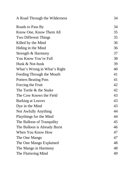| A Road Through the Wilderness | 34 |
|-------------------------------|----|
| Roads to Pass By              | 34 |
| Know One, Know Them All       | 35 |
| <b>Two Different Things</b>   | 35 |
| Killed by the Mind            | 36 |
| Hiding in the Mind            | 36 |
| Strength & Harmony            | 37 |
| You Know You're Full          | 38 |
| Husk & Not-husk               | 39 |
| What's Wrong in What's Right  | 40 |
| Feeding Through the Mouth     | 41 |
| <b>Potters Beating Pots</b>   | 41 |
| Forcing the Fruit             | 42 |
| The Turtle & the Snake        | 42 |
| The Cow Knows the Field       | 43 |
| <b>Barking at Leaves</b>      | 43 |
| Dye in the Mind               | 43 |
| Not Awfully Anything          | 44 |
| Playthings for the Mind       | 44 |
| The Balloon of Tranquility    | 45 |
| The Balloon is Already Burst  | 46 |
| When You Know How             | 47 |
| The One Mango                 | 47 |
| The One Mango Explained       | 48 |
| The Mango in Harmony          | 48 |
| The Fluttering Mind           | 49 |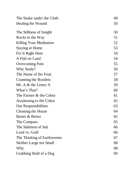| The Snake under the Cloth      | 49 |
|--------------------------------|----|
| Healing the Wound              | 50 |
| The Stillness of Insight       | 50 |
| Rocks in the Way               | 51 |
| <b>Killing Your Meditation</b> | 52 |
| Staying at Home                | 53 |
| Fix It Right Here              | 54 |
| A Fish on Land                 | 54 |
| <b>Overcoming Pain</b>         | 55 |
| Why Study?                     | 56 |
| The Name of the Fruit          | 57 |
| <b>Counting the Rootlets</b>   | 58 |
| Mr. A & the Letter A           | 59 |
| What's That?                   | 60 |
| The Farmer & the Cobra         | 61 |
| Awakening to the Cobra         | 62 |
| <b>Our Responsibilities</b>    | 63 |
| <b>Cleaning the House</b>      | 64 |
| Better & Better                | 65 |
| The Compass                    | 65 |
| The Saltiness of Salt          | 66 |
| Lead vs. Gold                  | 66 |
| The Thinking of Earthworms     | 67 |
| Neither Large nor Small        | 68 |
| Why                            | 68 |
| Grabbing Hold of a Dog         | 69 |